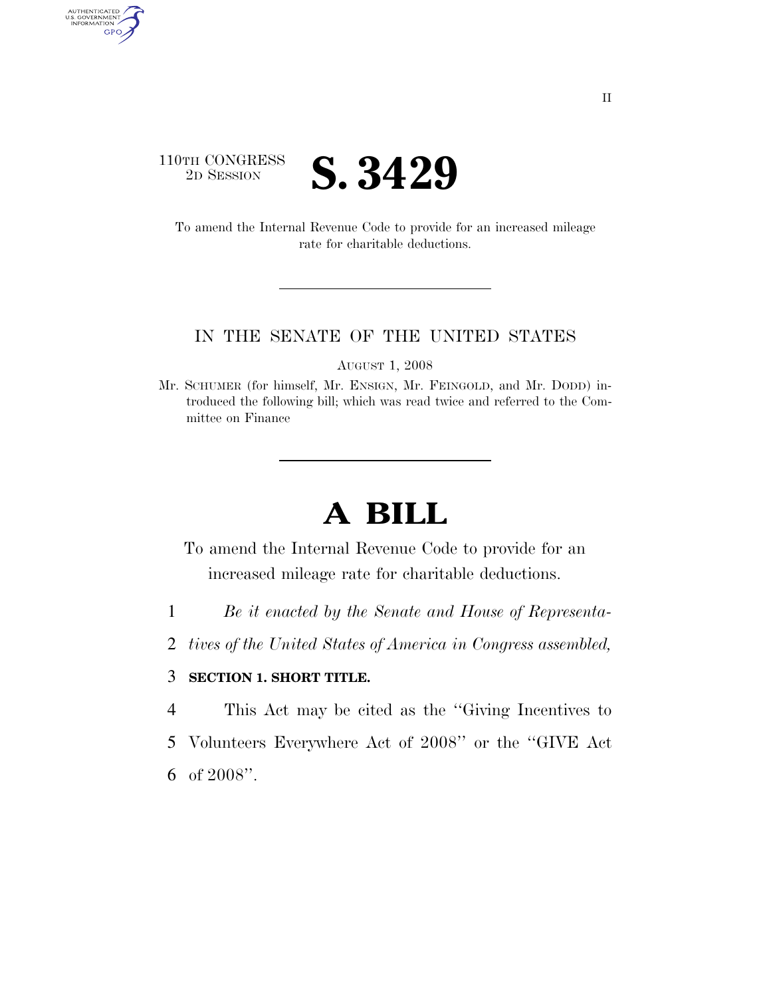

AUTHENTICATED<br>U.S. GOVERNMENT<br>INFORMATION

GPO

To amend the Internal Revenue Code to provide for an increased mileage rate for charitable deductions.

#### IN THE SENATE OF THE UNITED STATES

AUGUST 1, 2008

Mr. SCHUMER (for himself, Mr. ENSIGN, Mr. FEINGOLD, and Mr. DODD) introduced the following bill; which was read twice and referred to the Committee on Finance

# **A BILL**

To amend the Internal Revenue Code to provide for an increased mileage rate for charitable deductions.

- 1 *Be it enacted by the Senate and House of Representa-*
- 2 *tives of the United States of America in Congress assembled,*

### 3 **SECTION 1. SHORT TITLE.**

- 4 This Act may be cited as the ''Giving Incentives to
- 5 Volunteers Everywhere Act of 2008'' or the ''GIVE Act
- 6 of 2008''.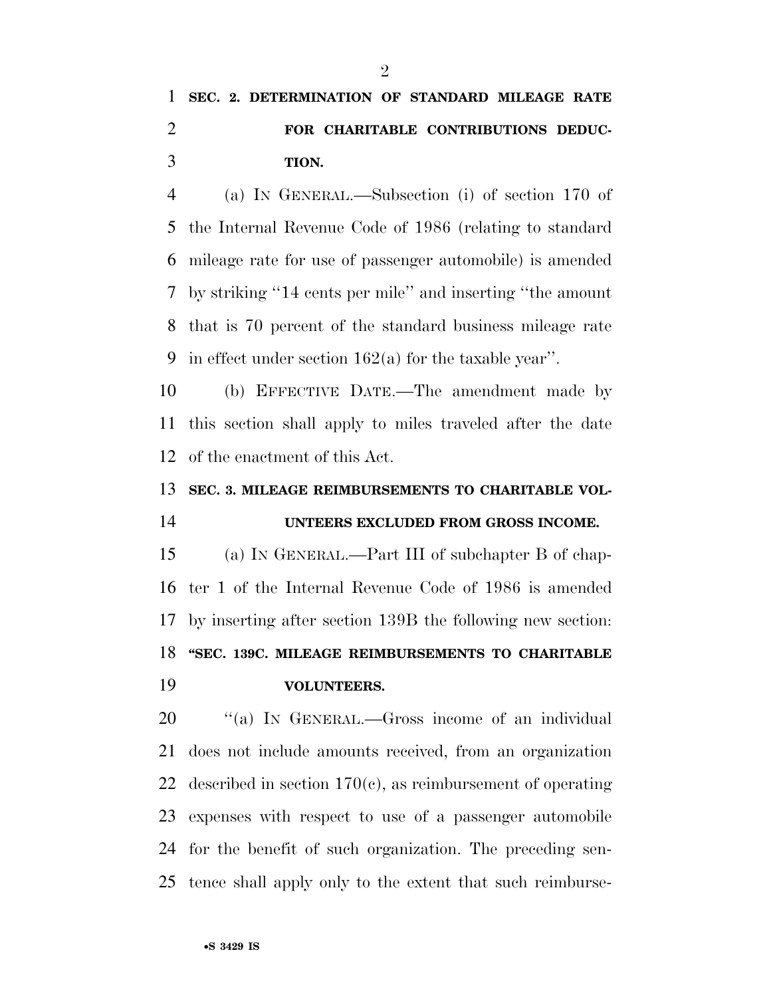## **SEC. 2. DETERMINATION OF STANDARD MILEAGE RATE FOR CHARITABLE CONTRIBUTIONS DEDUC-TION.**

 (a) IN GENERAL.—Subsection (i) of section 170 of the Internal Revenue Code of 1986 (relating to standard mileage rate for use of passenger automobile) is amended by striking ''14 cents per mile'' and inserting ''the amount that is 70 percent of the standard business mileage rate 9 in effect under section  $162(a)$  for the taxable year".

 (b) EFFECTIVE DATE.—The amendment made by this section shall apply to miles traveled after the date of the enactment of this Act.

### **SEC. 3. MILEAGE REIMBURSEMENTS TO CHARITABLE VOL-**

### **UNTEERS EXCLUDED FROM GROSS INCOME.**

 (a) IN GENERAL.—Part III of subchapter B of chap- ter 1 of the Internal Revenue Code of 1986 is amended by inserting after section 139B the following new section: **''SEC. 139C. MILEAGE REIMBURSEMENTS TO CHARITABLE VOLUNTEERS.** 

20 "(a) IN GENERAL.—Gross income of an individual does not include amounts received, from an organization 22 described in section  $170(c)$ , as reimbursement of operating expenses with respect to use of a passenger automobile for the benefit of such organization. The preceding sen-tence shall apply only to the extent that such reimburse